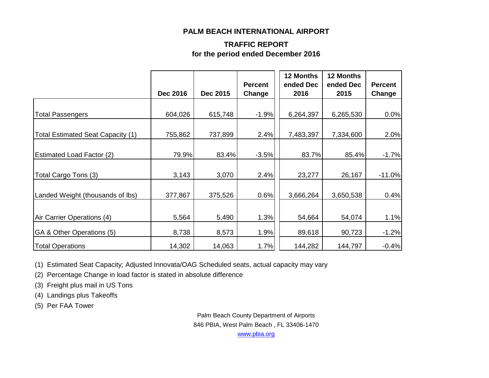#### **PALM BEACH INTERNATIONAL AIRPORT**

#### **TRAFFIC REPORT for the period ended December 2016**

|                                   | <b>Dec 2016</b> | Dec 2015 | <b>Percent</b><br>Change | 12 Months<br>ended Dec<br>2016 | 12 Months<br>ended Dec<br>2015 | <b>Percent</b><br>Change |
|-----------------------------------|-----------------|----------|--------------------------|--------------------------------|--------------------------------|--------------------------|
|                                   |                 |          |                          |                                |                                |                          |
| <b>Total Passengers</b>           | 604,026         | 615,748  | $-1.9%$                  | 6,264,397                      | 6,265,530                      | 0.0%                     |
|                                   |                 |          |                          |                                |                                |                          |
| Total Estimated Seat Capacity (1) | 755,862         | 737,899  | 2.4%                     | 7,483,397                      | 7,334,600                      | 2.0%                     |
|                                   |                 |          |                          |                                |                                |                          |
| <b>Estimated Load Factor (2)</b>  | 79.9%           | 83.4%    | $-3.5%$                  | 83.7%                          | 85.4%                          | $-1.7%$                  |
|                                   |                 |          |                          |                                |                                |                          |
| Total Cargo Tons (3)              | 3,143           | 3,070    | 2.4%                     | 23,277                         | 26,167                         | $-11.0%$                 |
| Landed Weight (thousands of lbs)  | 377,867         | 375,526  | 0.6%                     | 3,666,264                      | 3,650,538                      | 0.4%                     |
|                                   |                 |          |                          |                                |                                |                          |
| Air Carrier Operations (4)        | 5,564           | 5,490    | 1.3%                     | 54,664                         | 54,074                         | 1.1%                     |
| GA & Other Operations (5)         | 8,738           | 8,573    | 1.9%                     | 89,618                         | 90,723                         | $-1.2%$                  |
| <b>Total Operations</b>           | 14,302          | 14,063   | 1.7%                     | 144,282                        | 144,797                        | $-0.4%$                  |

(1) Estimated Seat Capacity; Adjusted Innovata/OAG Scheduled seats, actual capacity may vary

(2) Percentage Change in load factor is stated in absolute difference

(3) Freight plus mail in US Tons

(4) Landings plus Takeoffs

(5) Per FAA Tower

Palm Beach County Department of Airports 846 PBIA, West Palm Beach , FL 33406-1470

[www.pbia.org](http://www.pbia.org/)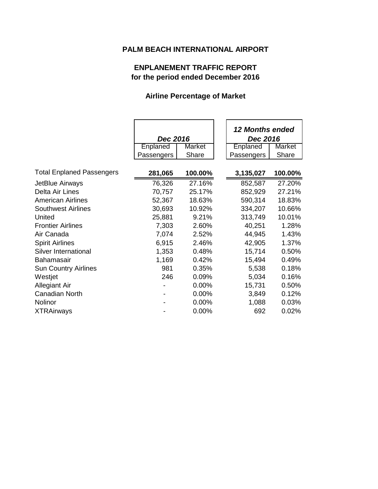# **PALM BEACH INTERNATIONAL AIRPORT**

# **ENPLANEMENT TRAFFIC REPORT for the period ended December 2016**

### **Airline Percentage of Market**

|                                  |                 |         | <b>12 Months ended</b> |         |  |
|----------------------------------|-----------------|---------|------------------------|---------|--|
|                                  | Dec 2016        |         | Dec 2016               |         |  |
|                                  | <b>Enplaned</b> | Market  | Enplaned               | Market  |  |
|                                  | Passengers      | Share   | Passengers             | Share   |  |
| <b>Total Enplaned Passengers</b> | 281,065         | 100.00% | 3,135,027              | 100.00% |  |
| JetBlue Airways                  | 76,326          | 27.16%  | 852,587                | 27.20%  |  |
| Delta Air Lines                  | 70,757          | 25.17%  | 852,929                | 27.21%  |  |
| <b>American Airlines</b>         | 52,367          | 18.63%  | 590,314                | 18.83%  |  |
| <b>Southwest Airlines</b>        | 30,693          | 10.92%  | 334,207                | 10.66%  |  |
| United                           | 25,881          | 9.21%   | 313,749                | 10.01%  |  |
| <b>Frontier Airlines</b>         | 7,303           | 2.60%   | 40,251                 | 1.28%   |  |
| Air Canada                       | 7,074           | 2.52%   | 44,945                 | 1.43%   |  |
| <b>Spirit Airlines</b>           | 6,915           | 2.46%   | 42,905                 | 1.37%   |  |
| Silver International             | 1,353           | 0.48%   | 15,714                 | 0.50%   |  |
| <b>Bahamasair</b>                | 1,169           | 0.42%   | 15,494                 | 0.49%   |  |
| <b>Sun Country Airlines</b>      | 981             | 0.35%   | 5,538                  | 0.18%   |  |
| Westjet                          | 246             | 0.09%   | 5,034                  | 0.16%   |  |
| <b>Allegiant Air</b>             |                 | 0.00%   | 15,731                 | 0.50%   |  |
| Canadian North                   |                 | 0.00%   | 3,849                  | 0.12%   |  |
| Nolinor                          |                 | 0.00%   | 1,088                  | 0.03%   |  |
| <b>XTRAirways</b>                |                 | 0.00%   | 692                    | 0.02%   |  |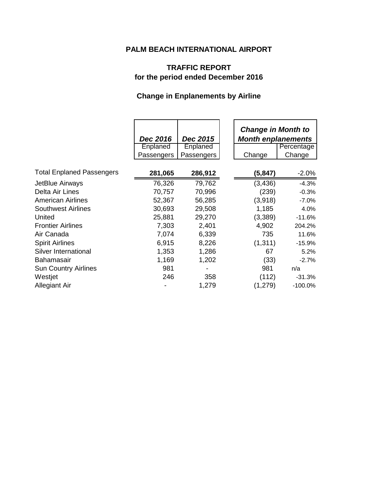# **PALM BEACH INTERNATIONAL AIRPORT**

# **TRAFFIC REPORT for the period ended December 2016**

# **Change in Enplanements by Airline**

|                                  | Dec 2016<br>Enplaned<br>Passengers | Dec 2015<br>Enplaned<br>Passengers | <b>Change in Month to</b><br><b>Month enplanements</b><br>Change | Percentage<br>Change |
|----------------------------------|------------------------------------|------------------------------------|------------------------------------------------------------------|----------------------|
| <b>Total Enplaned Passengers</b> | 281,065                            | 286,912                            | (5, 847)                                                         | $-2.0\%$             |
| JetBlue Airways                  | 76,326                             | 79,762                             | (3, 436)                                                         | $-4.3%$              |
| Delta Air Lines                  | 70,757                             | 70,996                             | (239)                                                            | $-0.3%$              |
| <b>American Airlines</b>         | 52,367                             | 56,285                             | (3,918)                                                          | $-7.0%$              |
| <b>Southwest Airlines</b>        | 30,693                             | 29,508                             | 1,185                                                            | 4.0%                 |
| United                           | 25,881                             | 29,270                             | (3,389)                                                          | $-11.6%$             |
| <b>Frontier Airlines</b>         | 7,303                              | 2,401                              | 4,902                                                            | 204.2%               |
| Air Canada                       | 7,074                              | 6,339                              | 735                                                              | 11.6%                |
| <b>Spirit Airlines</b>           | 6,915                              | 8,226                              | (1, 311)                                                         | $-15.9%$             |
| Silver International             | 1,353                              | 1,286                              | 67                                                               | 5.2%                 |
| Bahamasair                       | 1,169                              | 1,202                              | (33)                                                             | $-2.7%$              |
| <b>Sun Country Airlines</b>      | 981                                |                                    | 981                                                              | n/a                  |
| Westjet                          | 246                                | 358                                | (112)                                                            | $-31.3%$             |
| <b>Allegiant Air</b>             |                                    | 1,279                              | (1,279)                                                          | $-100.0%$            |